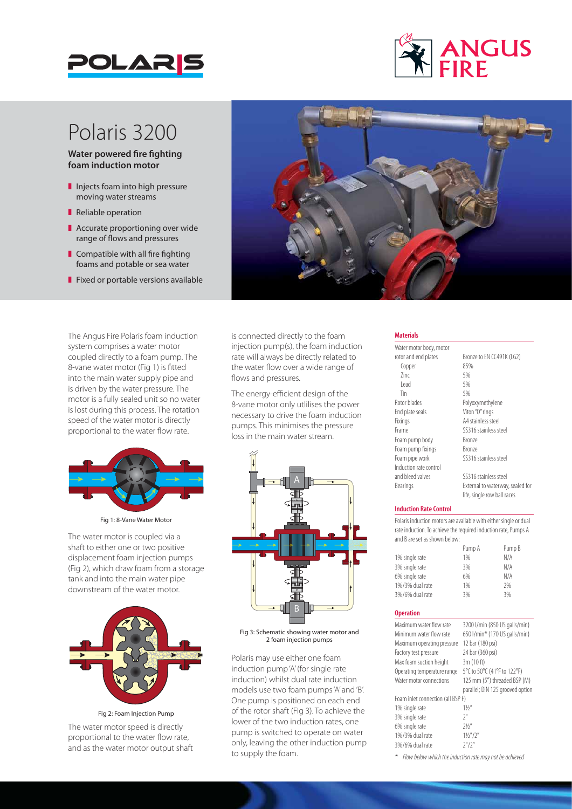



# Polaris 3200

**Water powered fire fighting foam induction motor**

- $\blacksquare$  Injects foam into high pressure moving water streams
- Reliable operation
- $\blacksquare$  Accurate proportioning over wide range of flows and pressures
- $\blacksquare$  Compatible with all fire fighting foams and potable or sea water
- $\blacksquare$  Fixed or portable versions available

The Angus Fire Polaris foam induction system comprises a water motor coupled directly to a foam pump. The 8-vane water motor (Fig 1) is fitted into the main water supply pipe and is driven by the water pressure. The motor is a fully sealed unit so no water is lost during this process. The rotation speed of the water motor is directly proportional to the water flow rate.



Fig 1: 8-Vane Water Motor

The water motor is coupled via a shaft to either one or two positive displacement foam injection pumps (Fig 2), which draw foam from a storage tank and into the main water pipe downstream of the water motor.



Fig 2: Foam Injection Pump

The water motor speed is directly proportional to the water flow rate, and as the water motor output shaft



is connected directly to the foam injection pump(s), the foam induction rate will always be directly related to the water flow over a wide range of flows and pressures.

The energy-efficient design of the 8-vane motor only utlilises the power necessary to drive the foam induction pumps. This minimises the pressure loss in the main water stream.



Fig 3: Schematic showing water motor and 2 foam injection pumps

Polaris may use either one foam induction pump 'A' (for single rate induction) whilst dual rate induction models use two foam pumps 'A' and 'B'. One pump is positioned on each end of the rotor shaft (Fig 3). To achieve the lower of the two induction rates, one pump is switched to operate on water only, leaving the other induction pump to supply the foam.

### **Materials**

Water motor body, motor rotor and end plates<br>
Fonner<br>
85%<br>
85% Copper  $\frac{2}{1}$   $\frac{5}{6}$ <br> $\frac{5}{6}$ Lead 5%<br>Tin 5% Tin 5% Rotor blades Polyoxymethylene End plate seals Viton "O" rings Fixings A4 stainless steel Frame SS316 stainless steel Foam pump body Bronze Foam pump fixings Bronze<br>
Foam pipe work SS316 Induction rate control and bleed valves SS316 stainless steel Bearings External to waterway, sealed for

SS316 stainless steel

## life, single row ball races **Induction Rate Control**

Polaris induction motors are available with either single or dual rate induction. To achieve the required induction rate, Pumps A and B are set as shown below:

| Pump A                | Pump B |
|-----------------------|--------|
| 1% single rate<br>1%  | N/A    |
| 3% single rate<br>3%  | N/A    |
| 6% single rate<br>6%  | N/A    |
| 1%/3% dual rate<br>1% | 2%     |
| 3%/6% dual rate<br>3% | 3%     |

#### **Operation**

| Maximum water flow rate           | 3200 l/min (850 US galls/min)    |
|-----------------------------------|----------------------------------|
| Minimum water flow rate           | 650 l/min* (170 US galls/min)    |
| Maximum operating pressure        | 12 bar (180 psi)                 |
| Factory test pressure             | 24 bar (360 psi)                 |
| Max foam suction height           | 3m (10 ft)                       |
| Operating temperature range       | 5°C to 50°C (41°F to 122°F)      |
| Water motor connections           | 125 mm (5") threaded BSP (M)     |
|                                   | parallel; DIN 125 grooved option |
| Foam inlet connection (all BSP F) |                                  |
| 1% single rate                    | 11/2                             |
| 3% single rate                    | 7''                              |
| 6% single rate                    | 71/''                            |
| 1%/3% dual rate                   | $1\frac{1}{2}$ "/2"              |
| 3%/6% dual rate                   | 7''/7''                          |

*\* Flow below which the induction rate may not be achieved*